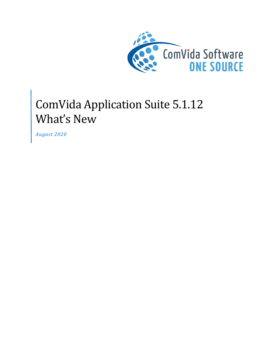

# ComVida Application Suite 5.1.12 What's New

*August 2020*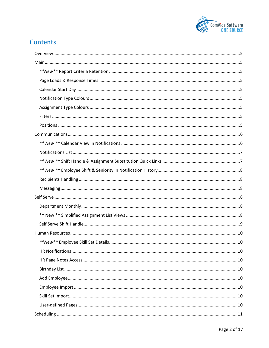

# Contents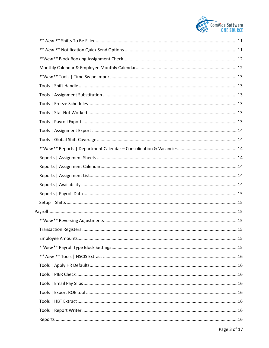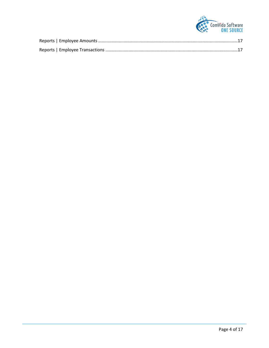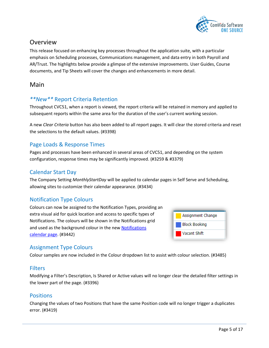

# <span id="page-4-0"></span>Overview

This release focused on enhancing key processes throughout the application suite, with a particular emphasis on Scheduling processes, Communications management, and data entry in both Payroll and AR/Trust. The highlights below provide a glimpse of the extensive improvements. User Guides, Course documents, and Tip Sheets will cover the changes and enhancements in more detail.

# <span id="page-4-1"></span>Main

# <span id="page-4-2"></span>*\*\*New\*\** Report Criteria Retention

Throughout CVC51, when a report is viewed, the report criteria will be retained in memory and applied to subsequent reports within the same area for the duration of the user's current working session.

A new *Clear Criteria* button has also been added to all report pages. It will clear the stored criteria and reset the selections to the default values. (#3398)

#### <span id="page-4-3"></span>Page Loads & Response Times

Pages and processes have been enhanced in several areas of CVC51, and depending on the system configuration, response times may be significantly improved. (#3259 & #3379)

# <span id="page-4-4"></span>Calendar Start Day

The Company Setting *MonthlyStartDay* will be applied to calendar pages in Self Serve and Scheduling, allowing sites to customize their calendar appearance. (#3434)

## <span id="page-4-5"></span>Notification Type Colours

Colours can now be assigned to the Notification Types, providing an extra visual aid for quick location and access to specific types of Notifications. The colours will be shown in the Notifications grid and used as the background colour in the new Notifications [calendar page.](#page-5-1) (#3442)



## <span id="page-4-6"></span>Assignment Type Colours

Colour samples are now included in the Colour dropdown list to assist with colour selection. (#3485)

#### <span id="page-4-7"></span>**Filters**

Modifying a Filter's Description, Is Shared or Active values will no longer clear the detailed filter settings in the lower part of the page. (#3396)

#### <span id="page-4-8"></span>**Positions**

Changing the values of two Positions that have the same Position code will no longer trigger a duplicates error. (#3419)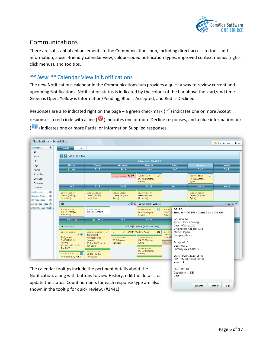

# <span id="page-5-0"></span>Communications

There are substantial enhancements to the Communications hub, including direct access to tools and information, a user-friendly calendar view, colour-coded notification types, improved context menus (rightclick menus), and tooltips.

# <span id="page-5-1"></span>*\*\* New \*\** Calendar View in Notifications

The new Notifications calendar in the Communications hub provides a quick a way to review current and upcoming Notifications. Notification status is indicated by the colour of the bar above the start/end time – Green is Open, Yellow is Information/Pending, Blue is Accepted, and Red is Declined.

Responses are also indicated right on the page – a green checkmark  $($   $\bullet$ ) indicates one or more Accept responses, a red circle with a line ( $\bigcirc$ ) indicates one or more Decline responses, and a blue information box  $\left( \frac{d\mathbf{I}}{dt} \right)$  indicates one or more Partial or Information Supplied responses.

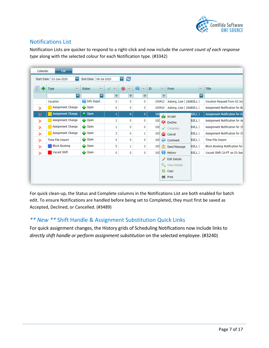

# <span id="page-6-0"></span>Notifications List

Notification Lists are quicker to respond to a right-click and now include the *current count of each response type* along with the selected colour for each Notification type. (#3342)

| Calendar              | <b>List</b>                  |                                         |              |                 |                                   |    |                    |                          |        |                                       |
|-----------------------|------------------------------|-----------------------------------------|--------------|-----------------|-----------------------------------|----|--------------------|--------------------------|--------|---------------------------------------|
|                       | ×<br>Start Date: 01-Jun-2020 | End Date: 09-Jul-2020                   |              | ⊡ ∂             |                                   |    |                    |                          |        |                                       |
| 囩<br>♣                | 國<br>Type                    | $\left  \cdot \right $<br><b>Status</b> | 囸            | ◉<br>$\sqrt{2}$ | Q<br>$\left  \frac{1}{2} \right $ | ID | 囸                  | <b>From</b>              | 區      | <b>Title</b>                          |
|                       | ₹                            | 7                                       | ۴            | $\mathcal{P}$   | Ŷ.                                |    | ۴                  |                          | ⊽      |                                       |
|                       | Vacation                     | <b>B</b> Info Suppl                     | 0            | 0               | 0                                 |    | 100412             | Aaberg, Lise (2AABJE,L)  |        | Vacation Request from 02-Jul          |
| ×                     | Assignment Change            | <b>◆ Open</b>                           | 0            | 0               | 0                                 |    | 100410             | Aaberg, Lise (2AABJE,L)  |        | Assignment Notification for Ba        |
| $\boldsymbol{\times}$ | <b>Assignment Change</b>     | $\triangle$ Open                        | $\mathbf{1}$ | $\bf{0}$        | $\overline{2}$                    |    | 100                | <b>Replace Set Set S</b> | BJE,L) | <b>Assignment Notification for Da</b> |
| ×                     | Assignment Change            | <b>◆ Open</b>                           | 1            | 0               | 0                                 |    | 100                | Decline                  | BJE,L) | Assignment Notification for Ar        |
| ×                     | Assignment Change            | <b>◆ Open</b>                           | 1            | 0               | 0                                 |    | 100                | $\checkmark$ Complete    | BJE,L) | Assignment Notification for (N        |
| ×                     | Assignment Change            | <b>◆ Open</b>                           | 3            | 0               | 1                                 |    | 100<br><b>STOP</b> | Cancel                   | BJE,L) | Assignment Notification for (N        |
| ×                     | Time File Import             | <b>◆ Open</b>                           | 0            | 0               | 0                                 |    | 100<br>0           | Comment                  | BJE,L) | Time File Import                      |
| $\times$              | <b>Block Booking</b>         | <b>◆ Open</b>                           | 5            | 1               | 3                                 |    | 100<br>ю           | Send Message             | BJE,L) | <b>Block Booking Notification for</b> |
| ×                     | Vacant Shift                 | <b>◆ Open</b>                           | 0            | 0               | 0                                 |    | 0<br>100           | History                  | BJE,L) | Vacant Shift CA-PT on 03-Jun          |
|                       |                              |                                         |              |                 |                                   |    |                    | <b>∕</b> Edit Details    |        |                                       |
|                       |                              |                                         |              |                 |                                   |    |                    | View Details             |        |                                       |
|                       |                              |                                         |              |                 |                                   |    | ¢                  | Copy                     |        |                                       |
|                       |                              |                                         |              |                 |                                   |    |                    | d Print                  |        |                                       |

For quick clean-up, the Status and Complete columns in the Notifications List are both enabled for batch edit. To ensure Notifications are handled before being set to Completed, they must first be saved as Accepted, Declined, or Cancelled. (#3489)

# <span id="page-6-1"></span>*\*\* New \*\** Shift Handle & Assignment Substitution Quick Links

For quick assignment changes, the History grids of Scheduling Notifications now include links to *directly shift handle or perform assignment substitution* on the selected employee. (#3240)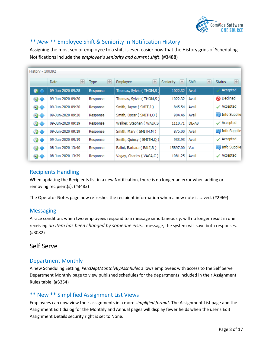

# <span id="page-7-0"></span>*\*\* New \*\** Employee Shift & Seniority in Notification History

Assigning the most senior employee to a shift is even easier now that the History grids of Scheduling Notifications include the *employee's seniority and current shift*. (#3488)

|                     | History - 100392   |                   |                          |                        |                           |                                         |  |  |  |
|---------------------|--------------------|-------------------|--------------------------|------------------------|---------------------------|-----------------------------------------|--|--|--|
|                     | Mr.<br><b>Date</b> | M.<br><b>Type</b> | M.<br><b>Employee</b>    | MA<br><b>Seniority</b> | <b>Shift</b><br><b>MA</b> | $\left  \cdot \right $<br><b>Status</b> |  |  |  |
| ۰<br>4              | 09-Jun-2020 09:28  | <b>Response</b>   | Thomas, Sylvie (THOM,S)  | 1022.32                | <b>Avail</b>              | <b>Accepted</b>                         |  |  |  |
| $\oplus \oplus$     | 09-Jun-2020 09:20  | Response          | Thomas, Sylvie (THOM,S)  | 1022.32                | Avail                     | <b>O</b> Declined                       |  |  |  |
| $\oplus \oplus$     | 09-Jun-2020 09:20  | Response          | Smith, Jayne (SMIT, J)   | 845.54                 | Avail                     | $\swarrow$ Accepted                     |  |  |  |
| $\oplus \oplus$     | 09-Jun-2020 09:20  | Response          | Smith, Oscar (SMITH, O)  | 904.46                 | Avail                     | <b>D</b> Info Supplie                   |  |  |  |
| $\mathbf{Q} \oplus$ | 09-Jun-2020 09:19  | Response          | Walker, Stephen (WALK,S  | 1110.71                | DE-A8                     | $\swarrow$ Accepted                     |  |  |  |
| $\oplus \oplus$     | 09-Jun-2020 09:19  | Response          | Smith, Mary (SMITH, M)   | 875.00                 | Avail                     | <b>D</b> Info Supplie                   |  |  |  |
| $\oplus \oplus$     | 09-Jun-2020 09:19  | Response          | Smith, Quincy (SMITH, Q) | 933.93                 | Avail                     | $\swarrow$ Accepted                     |  |  |  |
| $\oplus$            | 08-Jun-2020 13:40  | Response          | Balini, Barbara (BALI,B) | 15897.00               | Vac                       | <b>D</b> Info Supplie                   |  |  |  |
| $\mathbf{Q} \oplus$ | 08-Jun-2020 13:39  | Response          | Vagay, Charles (VAGA,C)  | 1081.25                | Avail                     | $\swarrow$ Accepted                     |  |  |  |

## <span id="page-7-1"></span>Recipients Handling

When updating the Recipients list in a new Notification, there is no longer an error when adding or removing recipient(s). (#3483)

The Operator Notes page now refreshes the recipient information when a new note is saved. (#2969)

## <span id="page-7-2"></span>**Messaging**

A race condition, when two employees respond to a message simultaneously, will no longer result in one receiving *an Item has been changed by someone else...* message, the system will save both responses. (#3082)

# <span id="page-7-3"></span>Self Serve

## <span id="page-7-4"></span>Department Monthly

A new Scheduling Setting, *PersDeptMonthlyByAssnRules* allows employees with access to the Self Serve Department Monthly page to view published schedules for the departments included in their Assignment Rules table. (#3354)

## <span id="page-7-5"></span>\*\* New \*\* Simplified Assignment List Views

Employees can now view their assignments in a more *simplified format*. The Assignment List page and the Assignment Edit dialog for the Monthly and Annual pages will display fewer fields when the user's Edit Assignment Details security right is set to None.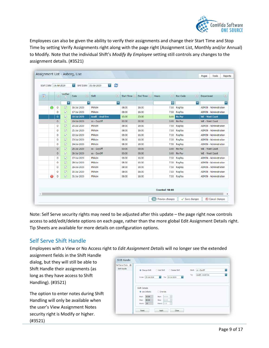

Employees can also be given the ability to verify their assignments and change their Start Time and Stop Time by setting Verify Assignments right along with the page right (Assignment List, Monthly and/or Annual) to Modify. Note that the individual Shift's *Modify By Employee* setting still controls any changes to the assignment details. (#3521)

| 巫<br>Shift<br><b>Date</b>   | 團<br>Start Time | End Time $\mathbb{R}$     |                        |                                    |                                                                         |
|-----------------------------|-----------------|---------------------------|------------------------|------------------------------------|-------------------------------------------------------------------------|
|                             |                 |                           | 巫<br>Hours             | $\left  \cdot \right $<br>Pay Code | 國<br>Department                                                         |
| ⋝                           | E               |                           | $\left  \cdot \right $ | न                                  | ⋤                                                                       |
| PRAdm<br>16-Jul-2020        | 08:00           | 16:00                     | 7.50                   | RegPay                             | <b>ADMIN</b> - Administration                                           |
| 17-Jul-2020<br>PRAdm        | 08:00           | 16:00                     | 7.50                   | RegPay                             | <b>ADMIN - Administration</b>                                           |
| 18-Jul-2020                 | 15:00           | 23:00                     | 8.00                   |                                    | WE - West Coast                                                         |
| 19-Jul-2020<br>xx - DayOff  | 00:00           | 00:00                     | 0.00                   |                                    | WE - West Coast                                                         |
| 20-Jul-2020<br><b>PRAdm</b> | 08:00           | 16:00                     | 7.50                   | RegPay                             | <b>ADMIN - Administration</b>                                           |
| PRAdm<br>21-Jul-2020        | 08:00           | 16:00                     | 7.50                   | RegPay                             | <b>ADMIN - Administration</b>                                           |
| 22-Jul-2020<br>PRAdm        | 08:00           | 16:00                     | 7.50                   | <b>RegPay</b>                      | <b>ADMIN - Administration</b>                                           |
| PRAdm<br>23-Jul-2020        | 08:00           | 16:00                     | 7.50                   |                                    | <b>ADMIN</b> - Administration                                           |
| PRAdm<br>24-Jul-2020        | 08:00           | 16:00                     | 7.50                   | RegPay                             | <b>ADMIN - Administration</b>                                           |
| 25-Jul-2020<br>xx - DayOff  | 00:00           | 00:00                     | 0.00                   |                                    | WE - West Coast                                                         |
| 26-Jul-2020<br>xx - DayOff  | 00:00           | 00:00                     | 0.00                   |                                    | WE - West Coast                                                         |
| PRAdm<br>27-Jul-2020        | 08:00           | 16:00                     | 7.50                   | RegPay                             | <b>ADMIN - Administration</b>                                           |
| <b>PRAdm</b><br>28-Jul-2020 | 08:00           | 16:00                     | 7.50                   | RegPay                             | <b>ADMIN - Administration</b>                                           |
| 29-Jul-2020<br>PRAdm        | 08:00           | 16:00                     | 7.50                   |                                    | <b>ADMIN - Administration</b>                                           |
| PRAdm<br>30-Jul-2020        | 08:00           | 16:00                     | 7.50                   | RegPay                             | <b>ADMIN - Administration</b>                                           |
| PRAdm<br>31-Jul-2020        | 08:00           | 16:00                     |                        |                                    | <b>ADMIN - Administration</b>                                           |
|                             |                 | <b>AvailE - Avail Eve</b> |                        |                                    | No Pay<br>No Pay<br>RegPay<br>No Pay<br>No Pay<br>RegPay<br>7.50 RegPay |

Note: Self Serve security rights may need to be adjusted after this update – the page right now controls access to add/edit/delete options on each page, rather than the more global Edit Assignment Details right. Tip Sheets are available for more details on configuration options.

## <span id="page-8-0"></span>Self Serve Shift Handle

Employees with a View or No Access right to *Edit Assignment Details* will no longer see the extended

assignment fields in the Shift Handle dialog, but they will still be able to Shift Handle their assignments (as long as they have access to Shift Handling). (#3521)

The option to enter notes during Shift Handling will only be available when the user's View Assignment Notes security right is Modify or higher. (#3521)

| Change Shift<br>Add Shift © Delete Shift                  | ы<br>$xx - DayOff$<br>Shift:                                                                                                                       |
|-----------------------------------------------------------|----------------------------------------------------------------------------------------------------------------------------------------------------|
|                                                           | Ξ<br>AvailE - Avail Eve<br>To:                                                                                                                     |
| E<br>로<br>To: 25-Jul-2020<br>From: 25-Jul-2020            |                                                                                                                                                    |
|                                                           |                                                                                                                                                    |
|                                                           |                                                                                                                                                    |
|                                                           |                                                                                                                                                    |
|                                                           |                                                                                                                                                    |
|                                                           |                                                                                                                                                    |
| L.                                                        |                                                                                                                                                    |
|                                                           |                                                                                                                                                    |
|                                                           |                                                                                                                                                    |
| $\left  \frac{1}{2} \right $<br>Hours: .00<br>Hours: 0.00 |                                                                                                                                                    |
|                                                           | <b>Shift Details</b><br><b>O</b> Use Defaults<br>○ Override<br>16:00<br>00:00<br>Start:<br>Start:<br>08:00<br>$\hat{ }$<br>00:00<br>Stop:<br>Stop: |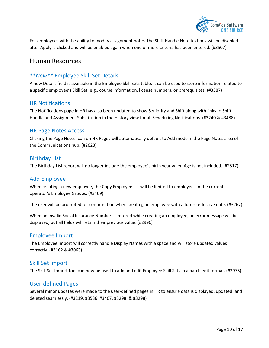

For employees with the ability to modify assignment notes, the Shift Handle Note text box will be disabled after Apply is clicked and will be enabled again when one or more criteria has been entered. (#3507)

## <span id="page-9-0"></span>Human Resources

## <span id="page-9-1"></span>*\*\*New\*\** Employee Skill Set Details

A new Details field is available in the Employee Skill Sets table. It can be used to store information related to a specific employee's Skill Set, e.g., course information, license numbers, or prerequisites. (#3387)

#### <span id="page-9-2"></span>HR Notifications

The Notifications page in HR has also been updated to show Seniority and Shift along with links to Shift Handle and Assignment Substitution in the History view for all Scheduling Notifications. (#3240 & #3488)

#### <span id="page-9-3"></span>HR Page Notes Access

Clicking the Page Notes icon on HR Pages will automatically default to Add mode in the Page Notes area of the Communications hub. (#2623)

#### <span id="page-9-4"></span>Birthday List

The Birthday List report will no longer include the employee's birth year when Age is not included. (#2517)

#### <span id="page-9-5"></span>Add Employee

When creating a new employee, the Copy Employee list will be limited to employees in the current operator's Employee Groups. (#3409)

The user will be prompted for confirmation when creating an employee with a future effective date. (#3267)

When an invalid Social Insurance Number is entered while creating an employee, an error message will be displayed, but all fields will retain their previous value. (#2996)

#### <span id="page-9-6"></span>Employee Import

The Employee Import will correctly handle Display Names with a space and will store updated values correctly. (#3162 & #3063)

#### <span id="page-9-7"></span>Skill Set Import

The Skill Set Import tool can now be used to add and edit Employee Skill Sets in a batch edit format. (#2975)

#### <span id="page-9-8"></span>User-defined Pages

Several minor updates were made to the user-defined pages in HR to ensure data is displayed, updated, and deleted seamlessly. (#3219, #3536, #3407, #3298, & #3298)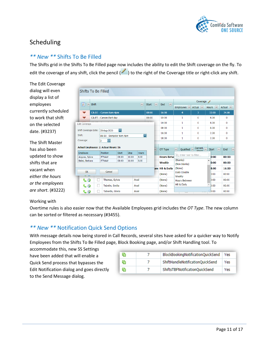

# <span id="page-10-0"></span>Scheduling

#### <span id="page-10-1"></span>*\*\* New \*\** Shifts To Be Filled

The Shifts grid in the Shifts To Be Filled page now includes the ability to edit the Shift coverage on the fly. To edit the coverage of any shift, click the pencil  $($  ) to the right of the Coverage title or right-click any shift.

The Edit Coverage dialog will even display a list of employees currently scheduled to work that shift on the selected date. (#3237)

The Shift Master has also been updated to show shifts that are vacant when *either the hours or the employees are short*. (#3222)

#### Working with

Overtime rules is also easier now that the Available Employees grid includes the *OT Type*. The new column can be sorted or filtered as necessary (#3455).

## <span id="page-10-2"></span>*\*\* New \*\** Notification Quick Send Options

With message details now being stored in Call Records, several sites have asked for a quicker way to Notify Employees from the Shifts To Be Filled page, Block Booking page, and/or Shift Handling tool. To

accommodate this, new SS Settings have been added that will enable a Quick Send process that bypasses the Edit Notification dialog and goes directly to the Send Message dialog.

|  | BlockBookingNotificationQuickSend | Yes |
|--|-----------------------------------|-----|
|  | ShiftHandleNotificationQuickSend  | Yes |
|  | ShiftsTBFNotificationQuickSend    | Yes |

| Shifts To Be Filled                                      |              |                         |              |             |              |              |                        |                       |                          |                                |                               |                  |      |   |
|----------------------------------------------------------|--------------|-------------------------|--------------|-------------|--------------|--------------|------------------------|-----------------------|--------------------------|--------------------------------|-------------------------------|------------------|------|---|
|                                                          |              |                         |              |             |              |              |                        |                       |                          | Coverage $\mathscr{D}$         |                               |                  |      |   |
| ē<br>區<br>Shift                                          |              |                         |              |             | <b>AR</b>    | <b>Start</b> | $\left  \cdot \right $ | $\overline{1}$<br>End | Employees                | Actual +                       | Hours +                       | Actual +         |      |   |
| $\overline{\mathbf{v}}$                                  |              | CA-D3 - Carson 8am-4pm  |              |             |              | 08:00        |                        | 16:00                 | 4                        | 3                              | 32.00                         | 24.00            |      |   |
| $\blacktriangledown$                                     |              | CA-PT - Carson Part day |              |             |              | 06:00        |                        | 10:00                 | 1                        | $\Omega$                       | 4.00                          | 0                |      |   |
| <b>Edit Coverage</b>                                     |              |                         |              |             | ---          |              | 14:00                  | 1                     | $\Omega$                 | 4.00                           | 0                             |                  |      |   |
|                                                          |              |                         |              |             |              |              |                        | 08:00                 | 1                        | 0                              | 8.00                          | 0                |      |   |
| Shift Coverage Date: 28-Aug-2020                         |              |                         | ≂            |             |              |              |                        | 16:00                 | 1                        | $\Omega$                       | 2.00                          | 0                |      |   |
| Shift:<br>DE-D3 - Dempster 8am-4pm                       |              |                         |              | ┳           |              | 즦            |                        |                       |                          | 18:30                          | 1                             | 0                | 2.00 | 0 |
| Actual Employees: 2. Actual Hours: 16<br><b>Employee</b> | Position     |                         | <b>Start</b> | <b>Stop</b> | <b>Hours</b> |              |                        | OT Type               | <b>AR</b><br>Oualified * | Current $\frac{1}{2}$<br>Houre | $\frac{1}{2}$<br><b>Start</b> | <b>AR</b><br>End |      |   |
| Alajane, Sylvie                                          | <b>FTNAW</b> |                         | 08:00        | 16:00       | 8.00         |              |                        | <b>Hours Betw</b>     | Q. Enter text to filter  |                                | 0:00                          | 00:00            |      |   |
| Balini, Barbara                                          | <b>FTNAW</b> |                         | 08:00        | 16:00       | 8.00         |              |                        | Weekly                | (Blanks)<br>(Non blanks) |                                | 0:00                          | 00:00            |      |   |
|                                                          |              |                         |              |             |              |              |                        | am HB & Daily         | (None)                   |                                | 8:00                          | 16:00            |      |   |
| OK                                                       |              | Cancel                  |              |             |              |              |                        | (None)                | Daily Double<br>Weekly   |                                | b:00                          | 00:00            |      |   |
| $\mathbf{C} \oplus$                                      | П            | Thomas, Sylvie          |              |             | Avail        |              |                        | (None)                | <b>Hours Between</b>     |                                | b:00                          | 00:00            |      |   |
| LO                                                       |              |                         |              |             | Avail        |              |                        |                       | HB & Daily               |                                |                               |                  |      |   |
|                                                          | П            | Tebelin, Emilia         |              |             |              |              |                        | (None)                |                          |                                | b:00                          | 00:00            |      |   |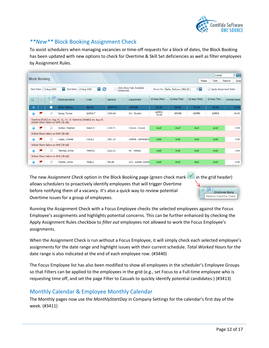

# <span id="page-11-0"></span>*\*\*New\*\** Block Booking Assignment Check

To assist schedulers when managing vacancies or time-off requests for a block of dates, the Block Booking has been updated with new options to check for Overtime & Skill Set deficiencies as well as filter employees by Assignment Rules.

|                      |                                                                                                                   |              |                                                                                                                    |               |                |                            |                                      |                                    |                          | Casual                        | $\otimes$ - $-$         |
|----------------------|-------------------------------------------------------------------------------------------------------------------|--------------|--------------------------------------------------------------------------------------------------------------------|---------------|----------------|----------------------------|--------------------------------------|------------------------------------|--------------------------|-------------------------------|-------------------------|
| <b>Block Booking</b> |                                                                                                                   |              |                                                                                                                    |               |                |                            |                                      |                                    | Pages                    | <b>Tools</b>                  | <b>Reports</b><br>Suppo |
|                      | Only Show Fully Available<br>8<br>Z<br>E.<br>End Date: 13-Aug-2020<br>Start Date: 10-Aug-2020<br><b>Employees</b> |              |                                                                                                                    |               |                |                            |                                      | Focus On: Balini, Barbara (BALI,B) | $\otimes$ $\blacksquare$ | $\vee$ Apply Assignment Rules |                         |
| $\bullet$            | $\overline{\phantom{a}}$                                                                                          | E            | 両<br><b>Employee Name</b>                                                                                          | 匣<br>Code     | 巫<br>Seniority | <b>I</b><br>Department     | 10-Aug (Mon) $\overline{\mathbb{L}}$ | 11-Aug (Tue) $\Box$                | 12-Aug (Wed) $\Box$      | 13-Aug (Thu) $\Box$           | <b>Worked Hours</b>     |
| 4                    |                                                                                                                   | П            | Balini, Barbara                                                                                                    | <b>BALLB</b>  | 15897.00       | CARSON                     | $DE-AB$                              | DE-A8                              | $DE-AB$                  | $DE-AB$                       | 32.00                   |
| ⊕                    | ,,                                                                                                                | $\checkmark$ | Wong, Teresa                                                                                                       | WONG.T        | 1169.64        | <b>DU - Dunbar</b>         | <b>ADMIN</b><br>$CA-AB$              | <b>ADMIN</b>                       | <b>ADMIN</b>             | <b>ADMIN</b>                  | 40.00                   |
|                      |                                                                                                                   |              | Overtime [Daily] on: Aug 10, 11, 12, 13. Overtime [Weekly] on: Aug 10.<br>Skillset Check failure on Shift [DE-A8]. |               |                |                            |                                      |                                    |                          |                               |                         |
| ♣                    | ,,                                                                                                                | $\checkmark$ | Walker, Stephen                                                                                                    | <b>WALK,S</b> | 1110.71        | Carson - Carson            | Avail                                | Avail                              | Avail                    | Avail                         | 0.00                    |
|                      |                                                                                                                   |              | Skillset Check failure on Shift [DE-A8].                                                                           |               |                |                            |                                      |                                    |                          |                               |                         |
| ♠                    | ш                                                                                                                 | ✓            | Vagay, Charles                                                                                                     | VAGA,C        | 1081.25        | <b>ADMIN - Administrat</b> | Avail                                | Avail                              | Avail                    | Avail                         | 0.00                    |
|                      |                                                                                                                   |              | Skillset Check failure on Shift [DE-A8].                                                                           |               |                |                            |                                      |                                    |                          |                               |                         |
| ⊕                    | ш                                                                                                                 | $\checkmark$ | Thomas, Sylvie                                                                                                     | THOM,S        | 1022.32        | HI - Hillside              | Avail                                | Avail                              | Avail                    | Avail                         | 0.00                    |
|                      |                                                                                                                   |              | Skillset Check failure on Shift [DE-A8].                                                                           |               |                |                            |                                      |                                    |                          |                               |                         |
| ♠                    |                                                                                                                   | ✓            | Tebelin, Emilia                                                                                                    | TEBE,E        | 992.86         | <b>LCS - Ladner Commu</b>  | Avail                                | Avail                              | Avail                    | Avail                         | 0.00                    |

The new *Assignment Check* option in the Block Booking page (green check mark in the grid header) allows schedulers to proactively identify employees that will trigger Overtime before notifying them of a vacancy. It's also a quick way to review potential Employee Name Perform Overtime Check Overtime issues for a group of employees.

Running the Assignment Check with a Focus Employee checks the selected employees against the Focus Employee's assignments and highlights potential concerns. This can be further enhanced by checking the Apply Assignment Rules checkbox to *filter out* employees not allowed to work the Focus Employee's assignments.

When the Assignment Check is run without a Focus Employee, it will simply check each selected employee's assignments for the date range and highlight issues with their current schedule. *Total Worked Hours* for the date range is also indicated at the end of each employee row. (#3440)

The Focus Employee list has also been modified to show all employees in the scheduler's Employee Groups so that Filters can be applied to the employees in the grid (e.g., set Focus to a Full-time employee who is requesting time off, and set the page Filter to Casuals to quickly identify potential candidates.) (#3413)

## <span id="page-11-1"></span>Monthly Calendar & Employee Monthly Calendar

The Monthly pages now use the *MonthlyStartDay* in Company Settings for the calendar's first day of the week. (#3411)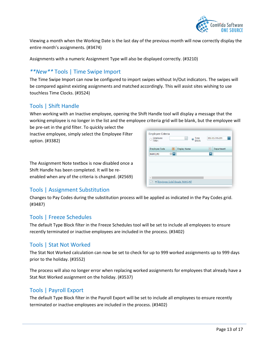

Viewing a month when the Working Date is the last day of the previous month will now correctly display the entire month's assignments. (#3474)

Assignments with a numeric Assignment Type will also be displayed correctly. (#3210)

# <span id="page-12-0"></span>*\*\*New\*\** Tools | Time Swipe Import

The Time Swipe Import can now be configured to import swipes without In/Out indicators. The swipes will be compared against existing assignments and matched accordingly. This will assist sites wishing to use touchless Time Clocks. (#3524)

## <span id="page-12-1"></span>Tools | Shift Handle

When working with an Inactive employee, opening the Shift Handle tool will display a message that the working employee is no longer in the list and the employee criteria grid will be blank, but the employee will

be pre-set in the grid filter. To quickly select the Inactive employee, simply select the Employee Filter option. (#3382)

The Assignment Note textbox is now disabled once a Shift Handle has been completed. It will be reenabled when any of the criteria is changed. (#2569)

| Employee Criteria<br>Employee<br>Filter: | ×<br>Type<br>Block:                 | ш,<br>???-?!?-???-??? |
|------------------------------------------|-------------------------------------|-----------------------|
| <b>Employee Code</b>                     | <b>Display Name</b><br>÷            | Department<br>闽       |
| RAMO,MJ                                  | ⊗⊡                                  | ٠                     |
|                                          |                                     |                       |
|                                          |                                     |                       |
|                                          |                                     |                       |
|                                          |                                     |                       |
| V                                        | C [Employee Code] Equals 'RAMO, MJ' |                       |
|                                          |                                     |                       |

#### <span id="page-12-2"></span>Tools | Assignment Substitution

Changes to Pay Codes during the substitution process will be applied as indicated in the Pay Codes grid. (#3487)

#### <span id="page-12-3"></span>Tools | Freeze Schedules

The default Type Block filter in the Freeze Schedules tool will be set to include all employees to ensure recently terminated or inactive employees are included in the process. (#3402)

#### <span id="page-12-4"></span>Tools | Stat Not Worked

The Stat Not Worked calculation can now be set to check for up to 999 worked assignments up to 999 days prior to the holiday. (#3552)

The process will also no longer error when replacing worked assignments for employees that already have a Stat Not Worked assignment on the holiday. (#3537)

#### <span id="page-12-5"></span>Tools | Payroll Export

The default Type Block filter in the Payroll Export will be set to include all employees to ensure recently terminated or inactive employees are included in the process. (#3402)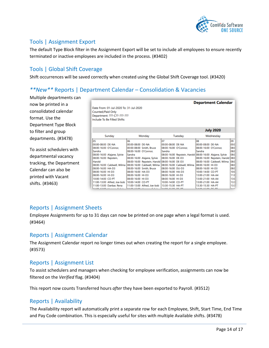

# <span id="page-13-0"></span>Tools | Assignment Export

The default Type Block filter in the Assignment Export will be set to include all employees to ensure recently terminated or inactive employees are included in the process. (#3402)

## <span id="page-13-1"></span>Tools | Global Shift Coverage

Shift occurrences will be saved correctly when created using the Global Shift Coverage tool. (#3420)

# <span id="page-13-2"></span>*\*\*New\*\** Reports | Department Calendar – Consolidation & Vacancies

Multiple departments can now be printed in a consolidated calendar format. Use the Department Type Block to filter and group departments. (#3478)

To assist schedulers with departmental vacancy tracking, the Department Calendar can also be printed with Vacant shifts. (#3463)

| <b>Department Calendar</b><br>Date From: 01-Jul-2020 To: 31-Jul-2020<br>Counted/Paid Only<br>Department: ???-C??-???-???<br>Include To Be Filled Shifts |                                                |                                                          |                              |      |  |  |  |  |  |
|---------------------------------------------------------------------------------------------------------------------------------------------------------|------------------------------------------------|----------------------------------------------------------|------------------------------|------|--|--|--|--|--|
|                                                                                                                                                         |                                                |                                                          | <b>July 2020</b>             |      |  |  |  |  |  |
| Sunday                                                                                                                                                  | Monday                                         | Tuesday                                                  | Wednesday                    |      |  |  |  |  |  |
| 05                                                                                                                                                      | 06                                             | 07                                                       | 08                           | 09   |  |  |  |  |  |
| 00:00-08:00 DE-NA                                                                                                                                       | 00:00-08:00 DE-NA                              | 00:00-08:00 DE-NA                                        | 00:00-08:00 DE-NA            | 00:0 |  |  |  |  |  |
| 08:00-16:00 O'Connor.                                                                                                                                   | 00:00-08:00 Smith, Bruce                       | 08:00-16:00 O'Connor,                                    | 08:00-16:00 O'Connor.        | 08.0 |  |  |  |  |  |
| Sandra                                                                                                                                                  | 08:00-16:00 O'Connor,                          | Sandra                                                   | Sandra                       | 08:0 |  |  |  |  |  |
| 08:00-16:00 Alajane, Sylvie                                                                                                                             | Sandra                                         | 08:00-16:00 Repstein, Harold 08:00-16:00 Alajane, Sylvie |                              | 080  |  |  |  |  |  |
| 08:00-16:00 Repstein.                                                                                                                                   | 08:00-16:00 Alajane, Sylvie                    | 08:00-16:00 DE-D3                                        | 08:00-16:00 Repstein, Harold | 080  |  |  |  |  |  |
| Harold                                                                                                                                                  | 08:00-16:00 Repstein, Harold 08:00-16:00 DE-D3 |                                                          | 08:00-16:00 Caldwell, Wilma  | 08:0 |  |  |  |  |  |
| 08:00-16:00 Caldwell, Wilma                                                                                                                             | 08:00-16:00 Caldwell, Wilma                    | 08:00-16:00 Caldwell, Wilma                              | 08:00-16:00 HI-D3            | 08.0 |  |  |  |  |  |
| 08:00-16:00 HA-D3                                                                                                                                       | 08:00-16:00 Smith, Bruce                       | 08:00-16:00 DU-D3                                        | 08:00-16:00 HI-D3            | 08:0 |  |  |  |  |  |
| 08:00-16:00 HI-D3                                                                                                                                       | 08:00-16:00 HA-D3                              | 08:00-16:00 HA-D3                                        | 10:00-14:00 CO-PT            | 10:0 |  |  |  |  |  |
| 08:00-16:00 HI-D3                                                                                                                                       | 08:00-16:00 HI-D3                              | 08:00-16:00 HI-D3                                        | 13:00-21:00 HA-A4            | 11:0 |  |  |  |  |  |
| 10:00-14:00 CO-PT                                                                                                                                       | 08:00-16:00 HI-D3                              | 08:00-16:00 HI-D3                                        | 13:00-21:00 HA-A4            | 13:0 |  |  |  |  |  |
| 11:00-13:00 Alfred, Joe-bob                                                                                                                             | 10:00-14:00 CO-PT                              | 10:00-14:00 CO-PT                                        | 13:00-21:00 HA-A4            | 13:3 |  |  |  |  |  |
| 11:00-13:00 Danbar, Rena                                                                                                                                | 11:00-13:00 Alfred, Joe-bob                    | 13:30-15:30 HA-PT                                        | 13:30-15:30 HA-PT            | 13:3 |  |  |  |  |  |
| 44-00-45-00-11------ C-L-L                                                                                                                              | <b>11.00.13.00.11</b>                          | LAO 1600 BE BE                                           | <b>LADD SCAD BE BE</b>       | 44.0 |  |  |  |  |  |

# <span id="page-13-3"></span>Reports | Assignment Sheets

Employee Assignments for up to 31 days can now be printed on one page when a legal format is used. (#3464)

## <span id="page-13-4"></span>Reports | Assignment Calendar

The Assignment Calendar report no longer times out when creating the report for a single employee. (#3573)

## <span id="page-13-5"></span>Reports | Assignment List

To assist schedulers and managers when checking for employee verification, assignments can now be filtered on the *Verified* flag. (#3404)

This report now counts Transferred hours *after* they have been exported to Payroll. (#3512)

## <span id="page-13-6"></span>Reports | Availability

The Availability report will automatically print a separate row for each Employee, Shift, Start Time, End Time and Pay Code combination. This is especially useful for sites with multiple Available shifts. (#3478)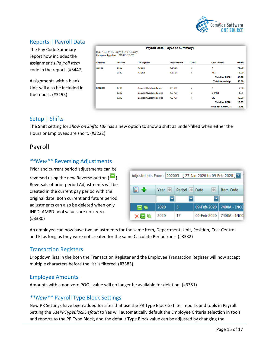

# <span id="page-14-0"></span>Reports | Payroll Data

The Pay Code Summary report now includes the assignment's *Payroll Item* code in the report. (#3447)

Assignments with a blank Unit will also be included in the report. (#3195)

|                                                                                |               | <b>Payroll Data (PayCode Summary)</b> |                   |      |                          |              |  |  |  |
|--------------------------------------------------------------------------------|---------------|---------------------------------------|-------------------|------|--------------------------|--------------|--|--|--|
| Date From: 07-Feb-2020 To: 13-Feb-2020<br>Employee Type Block: ???-?!?-???-??? |               |                                       |                   |      |                          |              |  |  |  |
| <b>Paycode</b>                                                                 | <b>PRItem</b> | <b>Description</b>                    | <b>Department</b> | Unit | <b>Cost Centre</b>       | <b>Hours</b> |  |  |  |
| Asleep                                                                         | 0550          | Asleep                                | Carson            |      |                          | 48.00        |  |  |  |
|                                                                                | 0550          | Asleep                                | Carson            |      | <b>RES</b>               | 8.00         |  |  |  |
|                                                                                |               |                                       |                   |      | Total for 0550:          | 56.00        |  |  |  |
|                                                                                |               |                                       |                   |      | <b>Total for Asleep:</b> | 56.00        |  |  |  |
| <b>BANKOT</b>                                                                  | 0210          | <b>Banked Overtime Earned</b>         | CO-OP             |      |                          | 2.50         |  |  |  |
|                                                                                | 0210          | <b>Banked Overtime Earned</b>         | CO-OP             |      | <b>GRANT</b>             | 0.75         |  |  |  |
|                                                                                | 0210          | <b>Banked Overtime Earned</b>         | CO-OP             |      | <b>SIL</b>               | 12.00        |  |  |  |
|                                                                                |               |                                       |                   |      | Total for 0210:          | 15.25        |  |  |  |
|                                                                                |               |                                       |                   |      | <b>Total for BANKOT:</b> | 15.25        |  |  |  |

## <span id="page-14-1"></span>Setup | Shifts

The Shift setting for *Show on Shifts TBF* has a new option to show a shift as under-filled when either the Hours or Employees are short. (#3222)

# <span id="page-14-2"></span>Payroll

## <span id="page-14-3"></span>*\*\*New\*\** Reversing Adjustments

Prior and current period adjustments can be reversed using the new Reverse button  $\left(\frac{1}{2}\right)$ . Reversals of prior period Adjustments will be created in the current pay period with the original date. Both current and future period adjustments can also be deleted when only INPD, AMPD pool values are non-zero. (#3380)

| Adjustments From: 202003 [27-Jan-2020 to 09-Feb-2020] |      |        |      |                          |  |  |
|-------------------------------------------------------|------|--------|------|--------------------------|--|--|
|                                                       | Year | Period | Date | <b>Item Code</b>         |  |  |
|                                                       |      |        |      |                          |  |  |
| 日重                                                    | 2020 | 3      |      | 09-Feb-2020 7400A - INCO |  |  |
| G                                                     | 2020 | 17     |      | 09-Feb-2020 7400A - INCO |  |  |

An employee can now have two adjustments for the same Item, Department, Unit, Position, Cost Centre, and EI as long as they were not created for the same Calculate Period runs. (#3332)

## <span id="page-14-4"></span>Transaction Registers

Dropdown lists in the both the Transaction Register and the Employee Transaction Register will now accept multiple characters before the list is filtered. (#3383)

#### <span id="page-14-5"></span>Employee Amounts

Amounts with a non-zero POOL value will no longer be available for deletion. (#3351)

## <span id="page-14-6"></span>*\*\*New\*\** Payroll Type Block Settings

New PR Settings have been added for sites that use the PR Type Block to filter reports and tools in Payroll. Setting the *UsePRTypeBlockDefault* to Yes will automatically default the Employee Criteria selection in tools and reports to the PR Type Block, and the default Type Block value can be adjusted by changing the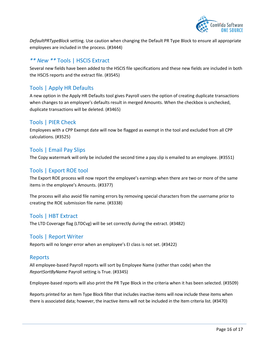

*DefaultPRTypeBlock* setting. Use caution when changing the Default PR Type Block to ensure all appropriate employees are included in the process. (#3444)

## <span id="page-15-0"></span>*\*\* New \*\** Tools | HSCIS Extract

Several new fields have been added to the HSCIS file specifications and these new fields are included in both the HSCIS reports and the extract file. (#3545)

## <span id="page-15-1"></span>Tools | Apply HR Defaults

A new option in the Apply HR Defaults tool gives Payroll users the option of creating duplicate transactions when changes to an employee's defaults result in merged Amounts. When the checkbox is unchecked, duplicate transactions will be deleted. (#3465)

## <span id="page-15-2"></span>Tools | PIER Check

Employees with a CPP Exempt date will now be flagged as exempt in the tool and excluded from all CPP calculations. (#3525)

## <span id="page-15-3"></span>Tools | Email Pay Slips

The Copy watermark will only be included the second time a pay slip is emailed to an employee. (#3551)

# <span id="page-15-4"></span>Tools | Export ROE tool

The Export ROE process will now report the employee's earnings when there are two or more of the same items in the employee's Amounts. (#3377)

The process will also avoid file naming errors by removing special characters from the username prior to creating the ROE submission file name. (#3338)

#### <span id="page-15-5"></span>Tools | HBT Extract

The LTD Coverage flag (LTDCvg) will be set correctly during the extract. (#3482)

#### <span id="page-15-6"></span>Tools | Report Writer

Reports will no longer error when an employee's EI class is not set. (#3422)

#### <span id="page-15-7"></span>Reports

All employee-based Payroll reports will sort by Employee Name (rather than code) when the *ReportSortByName* Payroll setting is True. (#3345)

Employee-based reports will also print the PR Type Block in the criteria when it has been selected. (#3509)

Reports printed for an Item Type Block filter that includes inactive items will now include these items when there is associated data; however, the inactive items will not be included in the Item criteria list. (#3470)